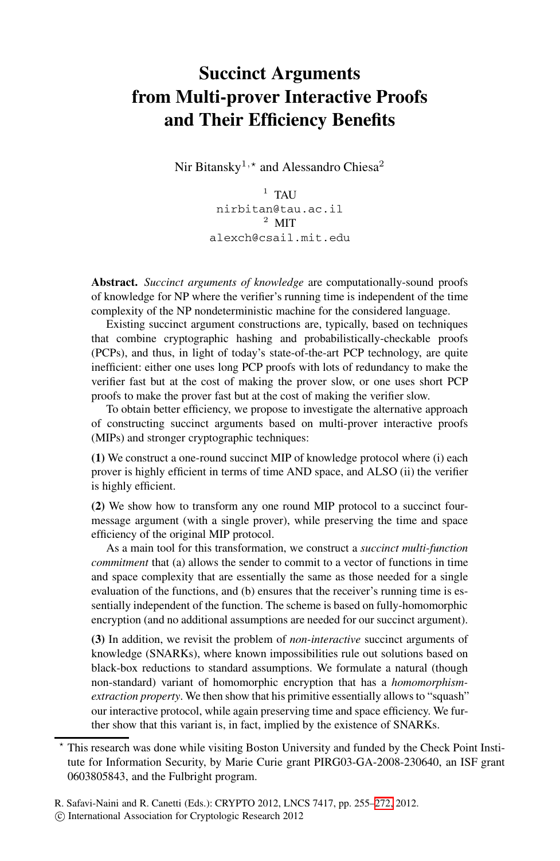# **Succinct Arguments from Multi-prover Interactive Proofs and Their Efficiency Benefits**

Nir Bitansky<sup>1,\*</sup> and Alessandro Chiesa<sup>2</sup>

 $1$  TAU nirbitan@tau.ac.il  $2$  MIT alexch@csail.mit.edu

**Abstract.** *Succinct arguments of knowledge* are computationally-sound proofs of knowledge for NP where the verifier's running time is independent of the time complexity of the NP nondeterministic machine for the considered language.

Existing succinct argument constructions are, typically, based on techniques that combine cryptographic hashing and probabilistically-checkable proofs (PCPs), and thus, in light of today's state-of-the-art PCP technology, are quite inefficient: either one uses long PCP proofs with lots of redundancy to make the verifier fast but at the cost of making the prover slow, or one uses short PCP proofs to make the prover fast but at the cost of making the verifier slow.

To obtain better efficiency, we propose to investigate the alternative approach of constructing succinct arguments based on multi-prover interactive proofs (MIPs) and stronger cryptographic techniques:

**(1)** We construct a one-round succinct MIP of knowledge protocol where (i) each prover is highly efficient in terms of time AND space, and ALSO (ii) the verifier is highly efficient.

**(2)** We show how to transform any one round MIP protocol to a succinct fourmessage argument (with a single prover), while preserving the time and space efficiency of the original MIP protocol.

As a main tool for this transformation, we construct a *succinct multi-function commitment* that (a) allows the sender to commit to a vector of functions in time and space complexity that are essentially the same as those needed for a single evaluation of the functions, and (b) ensures that the receiver's running time is essentially independent of the function. The scheme is based on fully-homomorphic encryption (and no additional assumptions are needed for our succinct argument).

**(3)** In addition, we revisit the problem of *non-interactive* succinct arguments of knowledge (SNARKs), where known impossibilities rule out solutions based on black-box reductions to standard assumptions. We formulate a natural (though non-standard) variant of homomorphic encryption that has a *homomorphismextraction property*. We then show that his primitive essentially allows to "squash" our interactive protocol, while again preserving time and space efficiency. We further show that this variant is, in fact, implied by the existence of SNARKs.

<sup>-</sup> This research was done while visiting Boston University and funded by the Check Point Institute for Information Security, by Marie Curie grant PIRG03-GA-2008-230640, an ISF grant 0603805843, and the Fulbright program.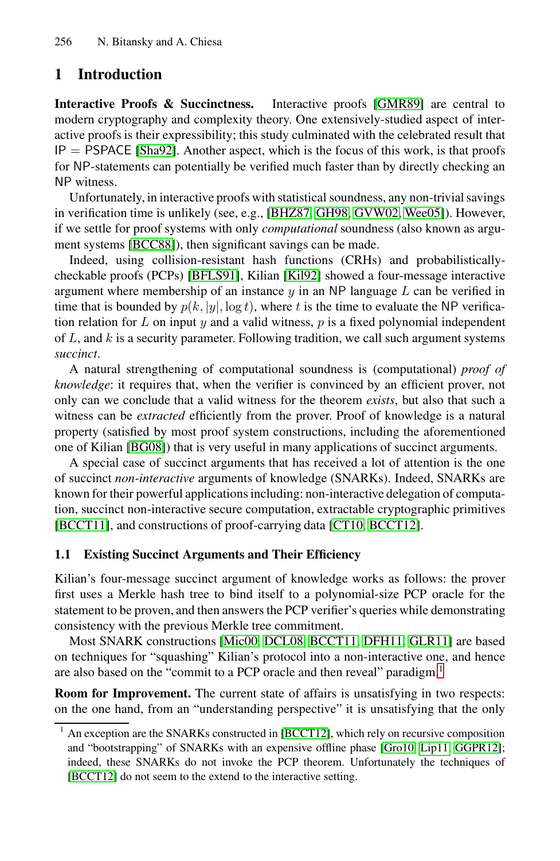### **1 Introduction**

**Interactive Proofs & Succinctness.** Interactive proofs [\[GMR89\]](#page-16-0) are central to modern cryptography and complexity theory. One extensively-studied aspect of interactive proofs is their expressibility; this study culminated with the celebrated result that  $IP = PSPACE$  [\[Sha92\]](#page-17-1). Another aspect, which is the focus of this work, is that proofs for NP-statements can potentially be verified much faster than by directly checking an NP witness.

Unfortunately, in interactive proofs with statistical soundness, any non-trivial savings in verification time is unlikely (see, e.g., [\[BHZ87,](#page-15-0) [GH98,](#page-16-1) [GVW02,](#page-16-2) [Wee05\]](#page-17-2)). However, if we settle for proof systems with only *computational* soundness (also known as argument systems [\[BCC88\]](#page-14-0)), then significant savings can be made.

Indeed, using collision-resistant hash functions (CRHs) and probabilisticallycheckable proofs (PCPs) [\[BFLS91\]](#page-15-1), Kilian [\[Kil92\]](#page-16-3) showed a four-message interactive argument where membership of an instance  $y$  in an NP language  $L$  can be verified in time that is bounded by  $p(k, |y|, \log t)$ , where t is the time to evaluate the NP verification relation for L on input y and a valid witness,  $p$  is a fixed polynomial independent of  $L$ , and  $k$  is a security parameter. Following tradition, we call such argument systems *succinct*.

A natural strengthening of computational soundness is (computational) *proof of knowledge*: it requires that, when the verifier is convinced by an efficient prover, not only can we conclude that a valid witness for the theorem *exists*, but also that such a witness can be *extracted* efficiently from the prover. Proof of knowledge is a natural property (satisfied by most proof system constructions, including the aforementioned one of Kilian [\[BG08\]](#page-15-2)) that is very useful in many applications of succinct arguments.

A special case of succinct arguments that has received a lot of attention is the one of succinct *non-interactive* arguments of knowledge (SNARKs). Indeed, SNARKs are known for their powerful applications including: non-interactive delegation of computation, succinct non-interactive secure computation, extractable cryptographic primitives [\[BCCT11\]](#page-14-1), and constructions of proof-carrying data [\[CT10,](#page-15-3) [BCCT12\]](#page-14-2).

#### **1.1 Existing Succinct Arguments and Their Efficiency**

Kilian's four-message succinct argument of knowledge works as follows: the prover first uses a Merkle hash tree to bind itself to a polynomial-size PCP oracle for the statement to be proven, and then answers the PCP verifier's queries while demonstrating consistency with the previous Merkle tree commitment.

<span id="page-1-0"></span>Most SNARK constructions [\[Mic00,](#page-16-4) [DCL08,](#page-16-5) [BCCT11,](#page-14-1) [DFH11,](#page-16-6) [GLR11\]](#page-16-7) are based on techniques for "squashing" Kilian's protocol into a non-interactive one, and hence are also based on the "commit to a PCP oracle and then reveal" paradigm.<sup>1</sup>

**Room for Improvement.** The current state of affairs is unsatisfying in two respects: on the one hand, from an "understanding perspective" it is unsatisfying that the only

<sup>&</sup>lt;sup>1</sup> An exception are the SNARKs constructed in [\[BCCT12\]](#page-14-2), which rely on recursive composition and "bootstrapping" of SNARKs with an expensive offline phase [\[Gro10,](#page-16-8) [Lip11,](#page-16-9) [GGPR12\]](#page-16-10); indeed, these SNARKs do not invoke the PCP theorem. Unfortunately the techniques of [\[BCCT12\]](#page-14-2) do not seem to the extend to the interactive setting.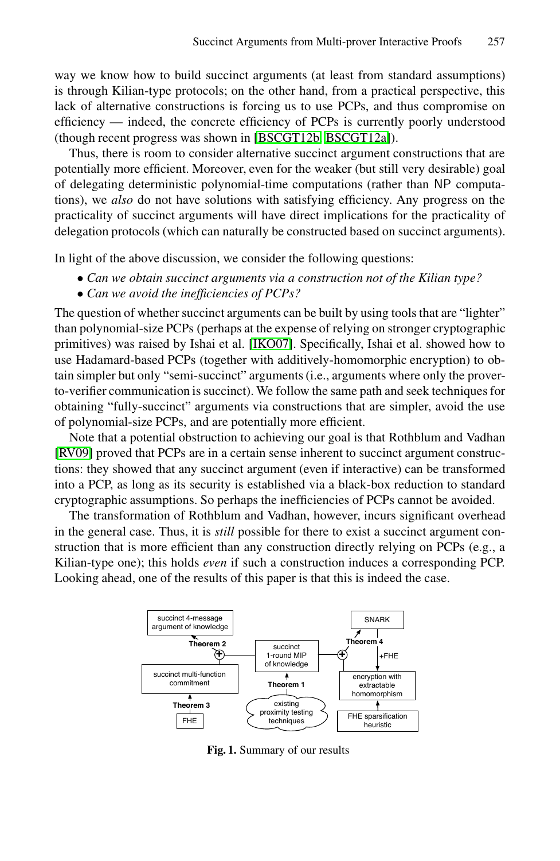way we know how to build succinct arguments (at least from standard assumptions) is through Kilian-type protocols; on the other hand, from a practical perspective, this lack of alternative constructions is forcing us to use PCPs, and thus compromise on efficiency — indeed, the concrete efficiency of PCPs is currently poorly understood (though recent progress was shown in [\[BSCGT12b,](#page-15-4) [BSCGT12a\]](#page-15-5)).

Thus, there is room to consider alternative succinct argument constructions that are potentially more efficient. Moreover, even for the weaker (but still very desirable) goal of delegating deterministic polynomial-time computations (rather than NP computations), we *also* do not have solutions with satisfying efficiency. Any progress on the practicality of succinct arguments will have direct implications for the practicality of delegation protocols (which can naturally be constructed based on succinct arguments).

In light of the above discussion, we consider the following questions:

- *Can we obtain succinct arguments via a construction not of the Kilian type?*
- *Can we avoid the inefficiencies of PCPs?*

The question of whether succinct arguments can be built by using tools that are "lighter" than polynomial-size PCPs (perhaps at the expense of relying on stronger cryptographic primitives) was raised by Ishai et al. [\[IKO07\]](#page-16-11). Specifically, Ishai et al. showed how to use Hadamard-based PCPs (together with additively-homomorphic encryption) to obtain simpler but only "semi-succinct" arguments (i.e., arguments where only the proverto-verifier communication is succinct). We follow the same path and seek techniques for obtaining "fully-succinct" arguments via constructions that are simpler, avoid the use of polynomial-size PCPs, and are potentially more efficient.

Note that a potential obstruction to achieving our goal is that Rothblum and Vadhan [\[RV09\]](#page-17-3) proved that PCPs are in a certain sense inherent to succinct argument constructions: they showed that any succinct argument (even if interactive) can be transformed into a PCP, as long as its security is established via a black-box reduction to standard cryptographic assumptions. So perhaps the inefficiencies of PCPs cannot be avoided.

The transformation of Rothblum and Vadhan, however, incurs significant overhead in the general case. Thus, it is *still* possible for there to exist a succinct argument construction that is more efficient than any construction directly relying on PCPs (e.g., a Kilian-type one); this holds *even* if such a construction induces a corresponding PCP. Looking ahead, one of the results of this paper is that this is indeed the case.

<span id="page-2-0"></span>

**Fig. 1.** Summary of our results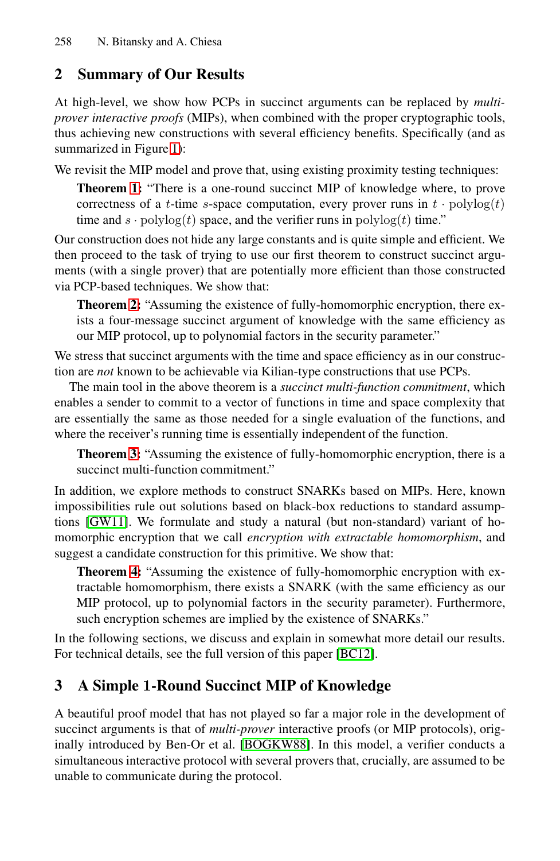### **2 Summary of Our Results**

At high-level, we show how PCPs in succinct arguments can be replaced by *multiprover interactive proofs* (MIPs), when combined with the proper cryptographic tools, thus achieving new constructions with several efficiency benefits. Specifically (and as summarized in Figure [1\)](#page-2-0):

We revisit the MIP model and prove that, using existing proximity testing techniques:

**Theorem [1:](#page-4-0)** "There is a one-round succinct MIP of knowledge where, to prove correctness of a t-time s-space computation, every prover runs in  $t \cdot \text{polylog}(t)$ time and  $s \cdot \text{polylog}(t)$  space, and the verifier runs in  $\text{polylog}(t)$  time."

Our construction does not hide any large constants and is quite simple and efficient. We then proceed to the task of trying to use our first theorem to construct succinct arguments (with a single prover) that are potentially more efficient than those constructed via PCP-based techniques. We show that:

**Theorem [2:](#page-7-0)** "Assuming the existence of fully-homomorphic encryption, there exists a four-message succinct argument of knowledge with the same efficiency as our MIP protocol, up to polynomial factors in the security parameter."

We stress that succinct arguments with the time and space efficiency as in our construction are *not* known to be achievable via Kilian-type constructions that use PCPs.

The main tool in the above theorem is a *succinct multi-function commitment*, which enables a sender to commit to a vector of functions in time and space complexity that are essentially the same as those needed for a single evaluation of the functions, and where the receiver's running time is essentially independent of the function.

**Theorem [3:](#page-8-0)** "Assuming the existence of fully-homomorphic encryption, there is a succinct multi-function commitment."

In addition, we explore methods to construct SNARKs based on MIPs. Here, known impossibilities rule out solutions based on black-box reductions to standard assumptions [\[GW11\]](#page-16-12). We formulate and study a natural (but non-standard) variant of homomorphic encryption that we call *encryption with extractable homomorphism*, and suggest a candidate construction for this primitive. We show that:

**Theorem [4:](#page-13-0)** "Assuming the existence of fully-homomorphic encryption with extractable homomorphism, there exists a SNARK (with the same efficiency as our MIP protocol, up to polynomial factors in the security parameter). Furthermore, such encryption schemes are implied by the existence of SNARKs."

In the following sections, we discuss and explain in somewhat more detail our results. For technical details, see the full version of this paper [\[BC12\]](#page-14-3).

# **3 A Simple 1-Round Succinct MIP of Knowledge**

A beautiful proof model that has not played so far a major role in the development of succinct arguments is that of *multi-prover* interactive proofs (or MIP protocols), originally introduced by Ben-Or et al. [\[BOGKW88\]](#page-15-6). In this model, a verifier conducts a simultaneous interactive protocol with several provers that, crucially, are assumed to be unable to communicate during the protocol.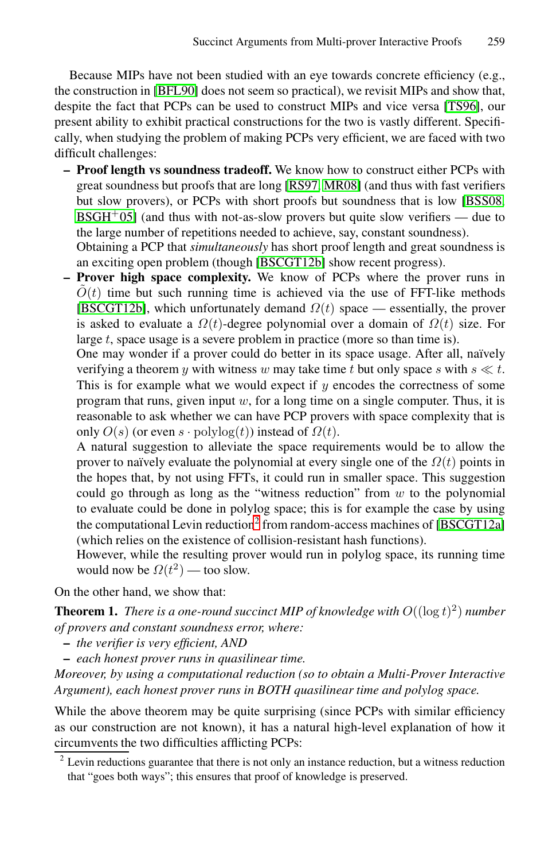Because MIPs have not been studied with an eye towards concrete efficiency (e.g., the construction in [\[BFL90\]](#page-14-4) does not seem so practical), we revisit MIPs and show that, despite the fact that PCPs can be used to construct MIPs and vice versa [\[TS96\]](#page-17-4), our present ability to exhibit practical constructions for the two is vastly different. Specifically, when studying the problem of making PCPs very efficient, we are faced with two difficult challenges:

**– Proof length vs soundness tradeoff.** We know how to construct either PCPs with great soundness but proofs that are long [\[RS97,](#page-17-5) [MR08\]](#page-16-13) (and thus with fast verifiers but slow provers), or PCPs with short proofs but soundness that is low [\[BSS08,](#page-15-7)  $BSGH<sup>+</sup>05$  $BSGH<sup>+</sup>05$ ] (and thus with not-as-slow provers but quite slow verifiers — due to the large number of repetitions needed to achieve, say, constant soundness). Obtaining a PCP that *simultaneously* has short proof length and great soundness is

an exciting open problem (though [\[BSCGT12b\]](#page-15-4) show recent progress).

**– Prover high space complexity.** We know of PCPs where the prover runs in  $O(t)$  time but such running time is achieved via the use of FFT-like methods [\[BSCGT12b\]](#page-15-4), which unfortunately demand  $\Omega(t)$  space — essentially, the prover is asked to evaluate a  $\Omega(t)$ -degree polynomial over a domain of  $\Omega(t)$  size. For large t, space usage is a severe problem in practice (more so than time is).

One may wonder if a prover could do better in its space usage. After all, naïvely verifying a theorem y with witness w may take time t but only space s with  $s \ll t$ . This is for example what we would expect if  $y$  encodes the correctness of some program that runs, given input  $w$ , for a long time on a single computer. Thus, it is reasonable to ask whether we can have PCP provers with space complexity that is only  $O(s)$  (or even s · polylog(t)) instead of  $\Omega(t)$ .

<span id="page-4-0"></span>A natural suggestion to alleviate the space requirements would be to allow the prover to naïvely evaluate the polynomial at every single one of the  $\Omega(t)$  points in the hopes that, by not using FFTs, it could run in smaller space. This suggestion could go through as long as the "witness reduction" from  $w$  to the polynomial to evaluate could be done in polylog space; this is for example the case by using the computational Levin reduction<sup>[2](#page-4-1)</sup> from random-access machines of [\[BSCGT12a\]](#page-15-5) (which relies on the existence of collision-resistant hash functions).

However, while the resulting prover would run in polylog space, its running time would now be  $\Omega(t^2)$  — too slow.

On the other hand, we show that:

**Theorem 1.** *There is a one-round succinct MIP of knowledge with*  $O((\log t)^2)$  *number of provers and constant soundness error, where:*

- **–** *the verifier is very efficient, AND*
- <span id="page-4-1"></span>**–** *each honest prover runs in quasilinear time.*

*Moreover, by using a computational reduction (so to obtain a Multi-Prover Interactive Argument), each honest prover runs in BOTH quasilinear time and polylog space.*

While the above theorem may be quite surprising (since PCPs with similar efficiency as our construction are not known), it has a natural high-level explanation of how it circumvents the two difficulties afflicting PCPs:

 $2^2$  Levin reductions guarantee that there is not only an instance reduction, but a witness reduction that "goes both ways"; this ensures that proof of knowledge is preserved.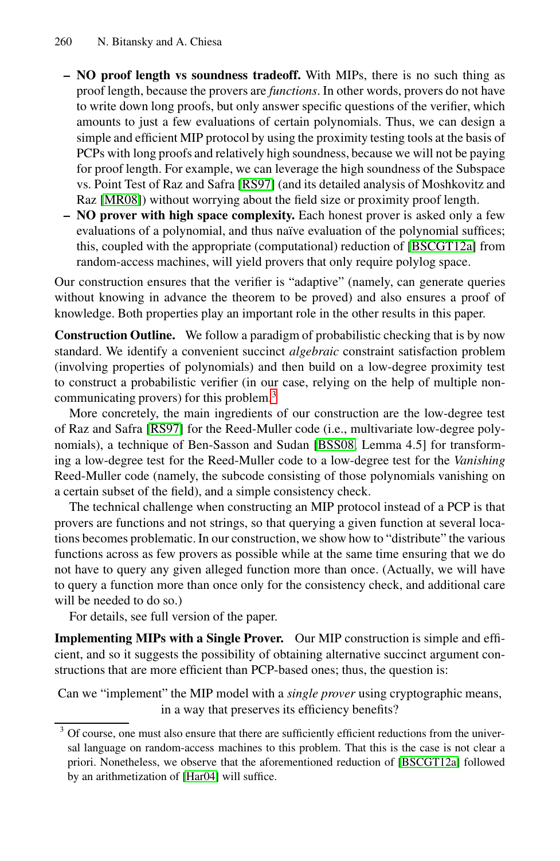- **NO proof length vs soundness tradeoff.** With MIPs, there is no such thing as proof length, because the provers are *functions*. In other words, provers do not have to write down long proofs, but only answer specific questions of the verifier, which amounts to just a few evaluations of certain polynomials. Thus, we can design a simple and efficient MIP protocol by using the proximity testing tools at the basis of PCPs with long proofs and relatively high soundness, because we will not be paying for proof length. For example, we can leverage the high soundness of the Subspace vs. Point Test of Raz and Safra [\[RS97\]](#page-17-5) (and its detailed analysis of Moshkovitz and Raz [\[MR08\]](#page-16-13)) without worrying about the field size or proximity proof length.
- **NO prover with high space complexity.** Each honest prover is asked only a few evaluations of a polynomial, and thus naïve evaluation of the polynomial suffices; this, coupled with the appropriate (computational) reduction of [\[BSCGT12a\]](#page-15-5) from random-access machines, will yield provers that only require polylog space.

Our construction ensures that the verifier is "adaptive" (namely, can generate queries without knowing in advance the theorem to be proved) and also ensures a proof of knowledge. Both properties play an important role in the other results in this paper.

**Construction Outline.** We follow a paradigm of probabilistic checking that is by now standard. We identify a convenient succinct *algebraic* constraint satisfaction problem (involving properties of polynomials) and then build on a low-degree proximity test to construct a probabilistic verifier (in our case, relying on the help of multiple noncommunicating provers) for this problem[.3](#page-5-0)

More concretely, the main ingredients of our construction are the low-degree test of Raz and Safra [\[RS97\]](#page-17-5) for the Reed-Muller code (i.e., multivariate low-degree polynomials), a technique of Ben-Sasson and Sudan [\[BSS08,](#page-15-7) Lemma 4.5] for transforming a low-degree test for the Reed-Muller code to a low-degree test for the *Vanishing* Reed-Muller code (namely, the subcode consisting of those polynomials vanishing on a certain subset of the field), and a simple consistency check.

The technical challenge when constructing an MIP protocol instead of a PCP is that provers are functions and not strings, so that querying a given function at several locations becomes problematic. In our construction, we show how to "distribute" the various functions across as few provers as possible while at the same time ensuring that we do not have to query any given alleged function more than once. (Actually, we will have to query a function more than once only for the consistency check, and additional care will be needed to do so.)

<span id="page-5-0"></span>For details, see full version of the paper.

**Implementing MIPs with a Single Prover.** Our MIP construction is simple and efficient, and so it suggests the possibility of obtaining alternative succinct argument constructions that are more efficient than PCP-based ones; thus, the question is:

Can we "implement" the MIP model with a *single prover* using cryptographic means, in a way that preserves its efficiency benefits?

 $3$  Of course, one must also ensure that there are sufficiently efficient reductions from the universal language on random-access machines to this problem. That this is the case is not clear a priori. Nonetheless, we observe that the aforementioned reduction of [\[BSCGT12a\]](#page-15-5) followed by an arithmetization of [\[Har04\]](#page-16-14) will suffice.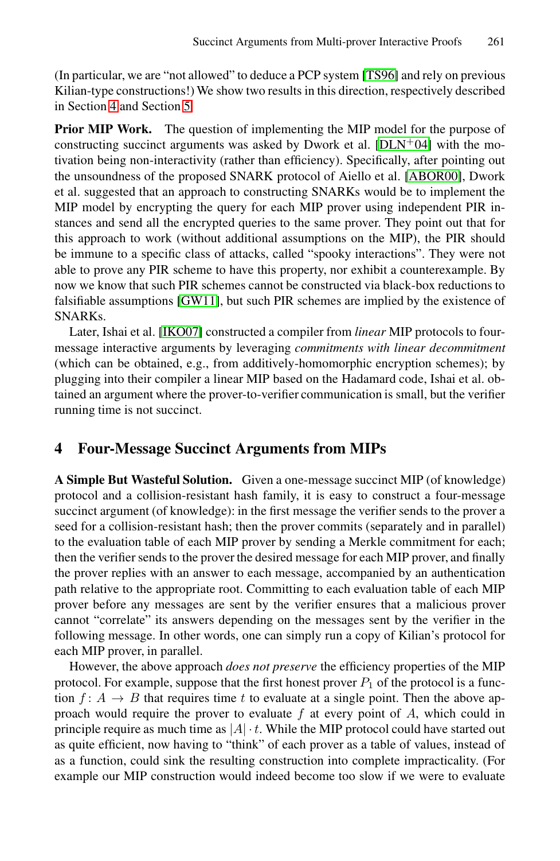(In particular, we are "not allowed" to deduce a PCP system [\[TS96\]](#page-17-4) and rely on previous Kilian-type constructions!) We show two results in this direction, respectively described in Section [4](#page-6-0) and Section [5.](#page-11-0)

**Prior MIP Work.** The question of implementing the MIP model for the purpose of constructing succinct arguments was asked by Dwork et al.  $[DLN<sup>+</sup>04]$  $[DLN<sup>+</sup>04]$  with the motivation being non-interactivity (rather than efficiency). Specifically, after pointing out the unsoundness of the proposed SNARK protocol of Aiello et al. [\[ABOR00\]](#page-14-5), Dwork et al. suggested that an approach to constructing SNARKs would be to implement the MIP model by encrypting the query for each MIP prover using independent PIR instances and send all the encrypted queries to the same prover. They point out that for this approach to work (without additional assumptions on the MIP), the PIR should be immune to a specific class of attacks, called "spooky interactions". They were not able to prove any PIR scheme to have this property, nor exhibit a counterexample. By now we know that such PIR schemes cannot be constructed via black-box reductions to falsifiable assumptions [\[GW11\]](#page-16-12), but such PIR schemes are implied by the existence of SNARKs.

<span id="page-6-0"></span>Later, Ishai et al. [\[IKO07\]](#page-16-11) constructed a compiler from *linear* MIP protocols to fourmessage interactive arguments by leveraging *commitments with linear decommitment* (which can be obtained, e.g., from additively-homomorphic encryption schemes); by plugging into their compiler a linear MIP based on the Hadamard code, Ishai et al. obtained an argument where the prover-to-verifier communication is small, but the verifier running time is not succinct.

#### **4 Four-Message Succinct Arguments from MIPs**

**A Simple But Wasteful Solution.** Given a one-message succinct MIP (of knowledge) protocol and a collision-resistant hash family, it is easy to construct a four-message succinct argument (of knowledge): in the first message the verifier sends to the prover a seed for a collision-resistant hash; then the prover commits (separately and in parallel) to the evaluation table of each MIP prover by sending a Merkle commitment for each; then the verifier sends to the prover the desired message for each MIP prover, and finally the prover replies with an answer to each message, accompanied by an authentication path relative to the appropriate root. Committing to each evaluation table of each MIP prover before any messages are sent by the verifier ensures that a malicious prover cannot "correlate" its answers depending on the messages sent by the verifier in the following message. In other words, one can simply run a copy of Kilian's protocol for each MIP prover, in parallel.

However, the above approach *does not preserve* the efficiency properties of the MIP protocol. For example, suppose that the first honest prover  $P_1$  of the protocol is a function  $f: A \rightarrow B$  that requires time t to evaluate at a single point. Then the above approach would require the prover to evaluate  $f$  at every point of  $A$ , which could in principle require as much time as  $|A| \cdot t$ . While the MIP protocol could have started out as quite efficient, now having to "think" of each prover as a table of values, instead of as a function, could sink the resulting construction into complete impracticality. (For example our MIP construction would indeed become too slow if we were to evaluate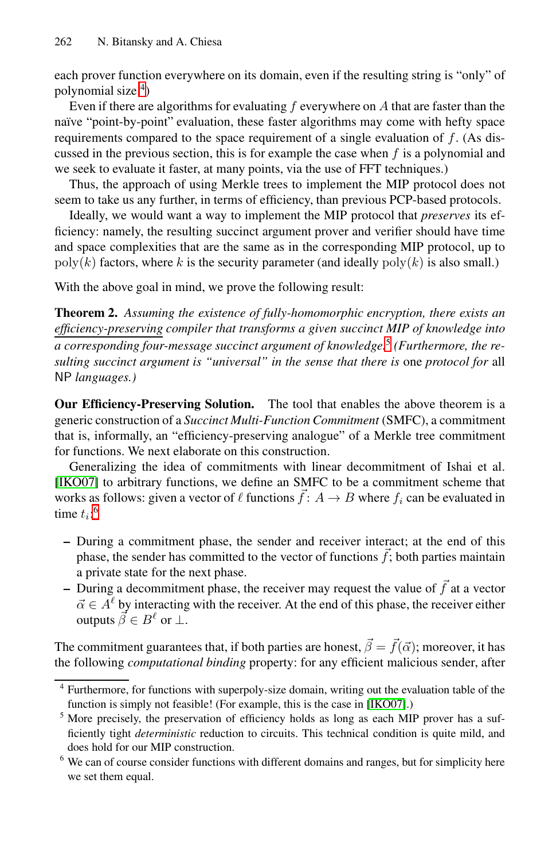each prover function everywhere on its domain, even if the resulting string is "only" of polynomial size. $4$ )

Even if there are algorithms for evaluating  $f$  everywhere on  $A$  that are faster than the naïve "point-by-point" evaluation, these faster algorithms may come with hefty space requirements compared to the space requirement of a single evaluation of  $f$ . (As discussed in the previous section, this is for example the case when  $f$  is a polynomial and we seek to evaluate it faster, at many points, via the use of FFT techniques.)

<span id="page-7-0"></span>Thus, the approach of using Merkle trees to implement the MIP protocol does not seem to take us any further, in terms of efficiency, than previous PCP-based protocols.

Ideally, we would want a way to implement the MIP protocol that *preserves* its efficiency: namely, the resulting succinct argument prover and verifier should have time and space complexities that are the same as in the corresponding MIP protocol, up to  $poly(k)$  factors, where k is the security parameter (and ideally  $poly(k)$  is also small.)

With the above goal in mind, we prove the following result:

**Theorem 2.** *Assuming the existence of fully-homomorphic encryption, there exists an efficiency-preserving compiler that transforms a given succinct MIP of knowledge into a corresponding four-message succinct argument of knowledge.*[5](#page-7-2) *(Furthermore, the resulting succinct argument is "universal" in the sense that there is* one *protocol for* all NP *languages.)*

**Our Efficiency-Preserving Solution.** The tool that enables the above theorem is a generic construction of a *Succinct Multi-Function Commitment* (SMFC), a commitment that is, informally, an "efficiency-preserving analogue" of a Merkle tree commitment for functions. We next elaborate on this construction.

Generalizing the idea of commitments with linear decommitment of Ishai et al. [\[IKO07\]](#page-16-11) to arbitrary functions, we define an SMFC to be a commitment scheme that works as follows: given a vector of  $\ell$  functions  $\bar{f}: A \to B$  where  $f_i$  can be evaluated in time  $t_i$ :<sup>[6](#page-7-3)</sup>

- **–** During a commitment phase, the sender and receiver interact; at the end of this phase, the sender has committed to the vector of functions  $\vec{f}$ ; both parties maintain a private state for the next phase.
- <span id="page-7-2"></span><span id="page-7-1"></span>**–** During a decommitment phase, the receiver may request the value of  $\vec{f}$  at a vector  $\vec{\alpha} \in A^{\ell}$  by interacting with the receiver. At the end of this phase, the receiver either outputs  $\vec{\beta} \in B^{\ell}$  or  $\perp$ .

The commitment guarantees that, if both parties are honest,  $\vec{\beta} = \vec{f}(\vec{\alpha})$ ; moreover, it has the following *computational binding* property: for any efficient malicious sender, after

<span id="page-7-3"></span><sup>4</sup> Furthermore, for functions with superpoly-size domain, writing out the evaluation table of the function is simply not feasible! (For example, this is the case in [\[IKO07\]](#page-16-11).)

<sup>5</sup> More precisely, the preservation of efficiency holds as long as each MIP prover has a sufficiently tight *deterministic* reduction to circuits. This technical condition is quite mild, and does hold for our MIP construction.

 $6$  We can of course consider functions with different domains and ranges, but for simplicity here we set them equal.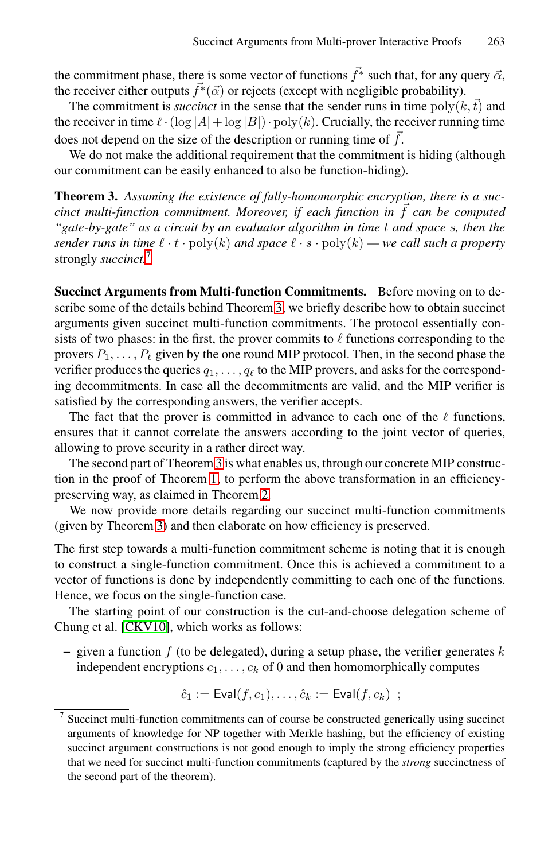<span id="page-8-0"></span>the commitment phase, there is some vector of functions  $\vec{f}^*$  such that, for any query  $\vec{\alpha}$ , the receiver either outputs  $\vec{f}^*(\vec{\alpha})$  or rejects (except with negligible probability).

The commitment is *succinct* in the sense that the sender runs in time  $\text{poly}(k, \vec{t})$  and the receiver in time  $\ell \cdot (\log |A| + \log |B|) \cdot \text{poly}(k)$ . Crucially, the receiver running time does not depend on the size of the description or running time of  $\vec{f}$ .

We do not make the additional requirement that the commitment is hiding (although our commitment can be easily enhanced to also be function-hiding).

**Theorem 3.** *Assuming the existence of fully-homomorphic encryption, there is a succinct multi-function commitment. Moreover, if each function in*  $\vec{f}$  *can be computed "gate-by-gate" as a circuit by an evaluator algorithm in time* t *and space* s*, then the sender runs in time*  $\ell \cdot t \cdot \text{poly}(k)$  *and space*  $\ell \cdot s \cdot \text{poly}(k)$  — we call such a property strongly *succinct.*[7](#page-8-1)

**Succinct Arguments from Multi-function Commitments.** Before moving on to describe some of the details behind Theorem [3,](#page-8-0) we briefly describe how to obtain succinct arguments given succinct multi-function commitments. The protocol essentially consists of two phases: in the first, the prover commits to  $\ell$  functions corresponding to the provers  $P_1, \ldots, P_\ell$  given by the one round MIP protocol. Then, in the second phase the verifier produces the queries  $q_1, \ldots, q_\ell$  to the MIP provers, and asks for the corresponding decommitments. In case all the decommitments are valid, and the MIP verifier is satisfied by the corresponding answers, the verifier accepts.

The fact that the prover is committed in advance to each one of the  $\ell$  functions, ensures that it cannot correlate the answers according to the joint vector of queries, allowing to prove security in a rather direct way.

The second part of Theorem [3](#page-8-0) is what enables us, through our concrete MIP construction in the proof of Theorem [1,](#page-4-0) to perform the above transformation in an efficiencypreserving way, as claimed in Theorem [2.](#page-7-0)

We now provide more details regarding our succinct multi-function commitments (given by Theorem [3\)](#page-8-0) and then elaborate on how efficiency is preserved.

The first step towards a multi-function commitment scheme is noting that it is enough to construct a single-function commitment. Once this is achieved a commitment to a vector of functions is done by independently committing to each one of the functions. Hence, we focus on the single-function case.

The starting point of our construction is the cut-and-choose delegation scheme of Chung et al. [\[CKV10\]](#page-15-9), which works as follows:

 $-$  given a function  $f$  (to be delegated), during a setup phase, the verifier generates  $k$ independent encryptions  $c_1, \ldots, c_k$  of 0 and then homomorphically computes

<span id="page-8-1"></span>
$$
\hat{c}_1 := \mathsf{Eval}(f, c_1), \ldots, \hat{c}_k := \mathsf{Eval}(f, c_k) ;
$$

Succinct multi-function commitments can of course be constructed generically using succinct arguments of knowledge for NP together with Merkle hashing, but the efficiency of existing succinct argument constructions is not good enough to imply the strong efficiency properties that we need for succinct multi-function commitments (captured by the *strong* succinctness of the second part of the theorem).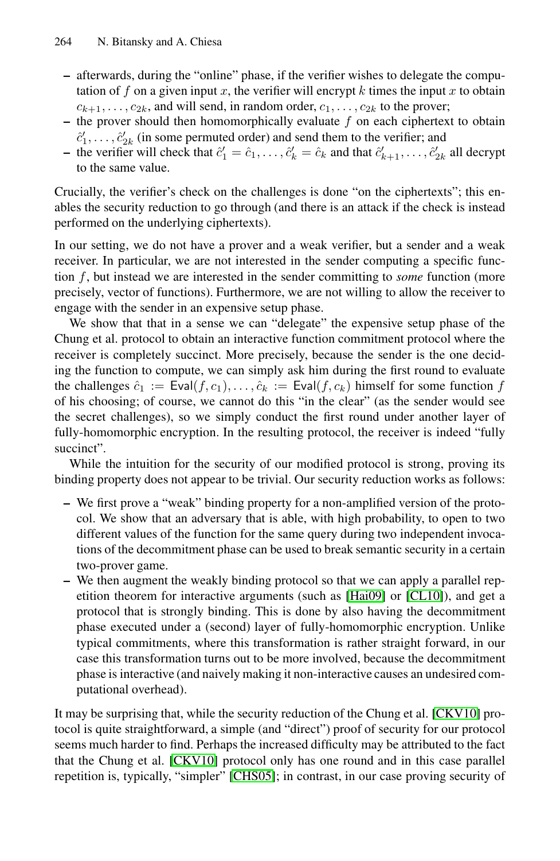- **–** afterwards, during the "online" phase, if the verifier wishes to delegate the computation of f on a given input x, the verifier will encrypt k times the input x to obtain  $c_{k+1}, \ldots, c_{2k}$ , and will send, in random order,  $c_1, \ldots, c_{2k}$  to the prover;
- $-$  the prover should then homomorphically evaluate  $f$  on each ciphertext to obtain  $\hat{c}'_1, \ldots, \hat{c}'_{2k}$  (in some permuted order) and send them to the verifier; and the verifier will check that  $\hat{c}'_n = \hat{c}_1$  and  $\hat{c}'_n = \hat{c}_1$  and that  $\hat{c}'_n = \hat{c}'_n$
- the verifier will check that  $\hat{c}'_1 = \hat{c}_1, \dots, \hat{c}'_k = \hat{c}_k$  and that  $\hat{c}'_{k+1}, \dots, \hat{c}'_{2k}$  all decrypt to the same value.

Crucially, the verifier's check on the challenges is done "on the ciphertexts"; this enables the security reduction to go through (and there is an attack if the check is instead performed on the underlying ciphertexts).

In our setting, we do not have a prover and a weak verifier, but a sender and a weak receiver. In particular, we are not interested in the sender computing a specific function f, but instead we are interested in the sender committing to *some* function (more precisely, vector of functions). Furthermore, we are not willing to allow the receiver to engage with the sender in an expensive setup phase.

We show that that in a sense we can "delegate" the expensive setup phase of the Chung et al. protocol to obtain an interactive function commitment protocol where the receiver is completely succinct. More precisely, because the sender is the one deciding the function to compute, we can simply ask him during the first round to evaluate the challenges  $\hat{c}_1 := \text{Eval}(f, c_1), \ldots, \hat{c}_k := \text{Eval}(f, c_k)$  himself for some function f of his choosing; of course, we cannot do this "in the clear" (as the sender would see the secret challenges), so we simply conduct the first round under another layer of fully-homomorphic encryption. In the resulting protocol, the receiver is indeed "fully succinct".

While the intuition for the security of our modified protocol is strong, proving its binding property does not appear to be trivial. Our security reduction works as follows:

- **–** We first prove a "weak" binding property for a non-amplified version of the protocol. We show that an adversary that is able, with high probability, to open to two different values of the function for the same query during two independent invocations of the decommitment phase can be used to break semantic security in a certain two-prover game.
- **–** We then augment the weakly binding protocol so that we can apply a parallel repetition theorem for interactive arguments (such as [\[Hai09\]](#page-16-16) or [\[CL10\]](#page-15-10)), and get a protocol that is strongly binding. This is done by also having the decommitment phase executed under a (second) layer of fully-homomorphic encryption. Unlike typical commitments, where this transformation is rather straight forward, in our case this transformation turns out to be more involved, because the decommitment phase is interactive (and naively making it non-interactive causes an undesired computational overhead).

It may be surprising that, while the security reduction of the Chung et al. [\[CKV10\]](#page-15-9) protocol is quite straightforward, a simple (and "direct") proof of security for our protocol seems much harder to find. Perhaps the increased difficulty may be attributed to the fact that the Chung et al. [\[CKV10\]](#page-15-9) protocol only has one round and in this case parallel repetition is, typically, "simpler" [\[CHS05\]](#page-15-11); in contrast, in our case proving security of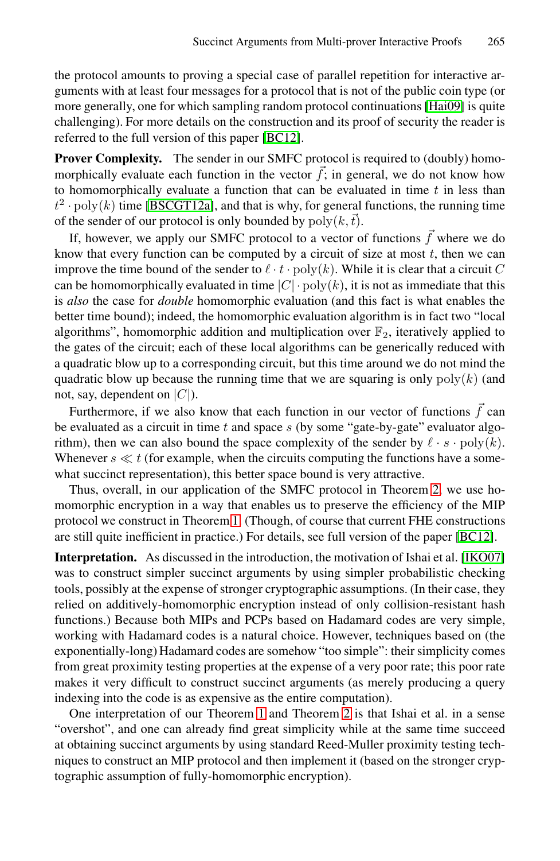the protocol amounts to proving a special case of parallel repetition for interactive arguments with at least four messages for a protocol that is not of the public coin type (or more generally, one for which sampling random protocol continuations [\[Hai09\]](#page-16-16) is quite challenging). For more details on the construction and its proof of security the reader is referred to the full version of this paper [\[BC12\]](#page-14-3).

**Prover Complexity.** The sender in our SMFC protocol is required to (doubly) homomorphically evaluate each function in the vector  $\vec{f}$ ; in general, we do not know how to homomorphically evaluate a function that can be evaluated in time  $t$  in less than  $t^2 \cdot \text{poly}(k)$  time [\[BSCGT12a\]](#page-15-5), and that is why, for general functions, the running time<br>of the sender of our protocol is only bounded by  $\text{poly}(k, \vec{f})$ of the sender of our protocol is only bounded by  $poly(k, \vec{t})$ .

If, however, we apply our SMFC protocol to a vector of functions  $\vec{f}$  where we do know that every function can be computed by a circuit of size at most  $t$ , then we can improve the time bound of the sender to  $\ell \cdot t \cdot \text{poly}(k)$ . While it is clear that a circuit C can be homomorphically evaluated in time  $|C| \cdot \text{poly}(k)$ , it is not as immediate that this is *also* the case for *double* homomorphic evaluation (and this fact is what enables the better time bound); indeed, the homomorphic evaluation algorithm is in fact two "local algorithms", homomorphic addition and multiplication over  $\mathbb{F}_2$ , iteratively applied to the gates of the circuit; each of these local algorithms can be generically reduced with a quadratic blow up to a corresponding circuit, but this time around we do not mind the quadratic blow up because the running time that we are squaring is only  $poly(k)$  (and not, say, dependent on  $|C|$ ).

Furthermore, if we also know that each function in our vector of functions  $f$  can be evaluated as a circuit in time  $t$  and space  $s$  (by some "gate-by-gate" evaluator algorithm), then we can also bound the space complexity of the sender by  $\ell \cdot s \cdot \text{poly}(k)$ . Whenever  $s \ll t$  (for example, when the circuits computing the functions have a somewhat succinct representation), this better space bound is very attractive.

Thus, overall, in our application of the SMFC protocol in Theorem [2,](#page-7-0) we use homomorphic encryption in a way that enables us to preserve the efficiency of the MIP protocol we construct in Theorem [1.](#page-4-0) (Though, of course that current FHE constructions are still quite inefficient in practice.) For details, see full version of the paper [\[BC12\]](#page-14-3).

**Interpretation.** As discussed in the introduction, the motivation of Ishai et al. [\[IKO07\]](#page-16-11) was to construct simpler succinct arguments by using simpler probabilistic checking tools, possibly at the expense of stronger cryptographic assumptions. (In their case, they relied on additively-homomorphic encryption instead of only collision-resistant hash functions.) Because both MIPs and PCPs based on Hadamard codes are very simple, working with Hadamard codes is a natural choice. However, techniques based on (the exponentially-long) Hadamard codes are somehow "too simple": their simplicity comes from great proximity testing properties at the expense of a very poor rate; this poor rate makes it very difficult to construct succinct arguments (as merely producing a query indexing into the code is as expensive as the entire computation).

One interpretation of our Theorem [1](#page-4-0) and Theorem [2](#page-7-0) is that Ishai et al. in a sense "overshot", and one can already find great simplicity while at the same time succeed at obtaining succinct arguments by using standard Reed-Muller proximity testing techniques to construct an MIP protocol and then implement it (based on the stronger cryptographic assumption of fully-homomorphic encryption).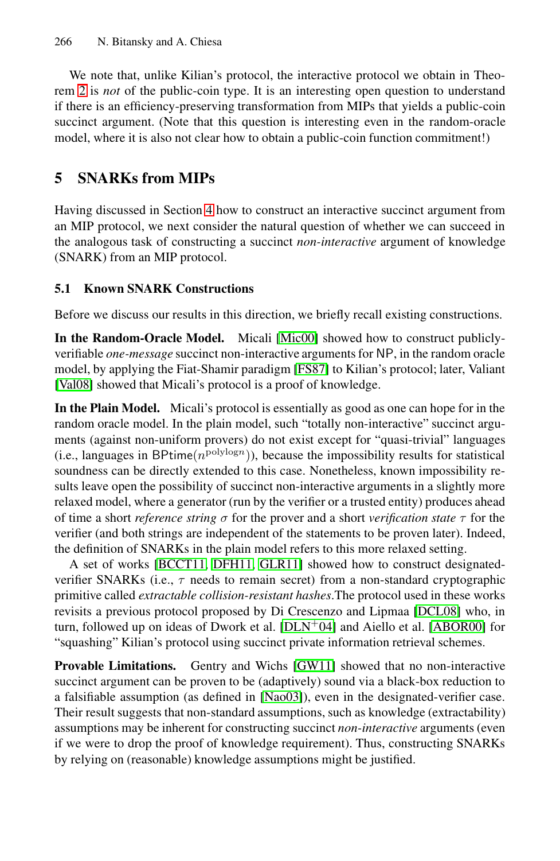<span id="page-11-0"></span>We note that, unlike Kilian's protocol, the interactive protocol we obtain in Theorem [2](#page-7-0) is *not* of the public-coin type. It is an interesting open question to understand if there is an efficiency-preserving transformation from MIPs that yields a public-coin succinct argument. (Note that this question is interesting even in the random-oracle model, where it is also not clear how to obtain a public-coin function commitment!)

# **5 SNARKs from MIPs**

Having discussed in Section [4](#page-6-0) how to construct an interactive succinct argument from an MIP protocol, we next consider the natural question of whether we can succeed in the analogous task of constructing a succinct *non-interactive* argument of knowledge (SNARK) from an MIP protocol.

### **5.1 Known SNARK Constructions**

Before we discuss our results in this direction, we briefly recall existing constructions.

**In the Random-Oracle Model.** Micali [\[Mic00\]](#page-16-4) showed how to construct publiclyverifiable *one-message* succinct non-interactive arguments for NP, in the random oracle model, by applying the Fiat-Shamir paradigm [\[FS87\]](#page-16-17) to Kilian's protocol; later, Valiant [\[Val08\]](#page-17-6) showed that Micali's protocol is a proof of knowledge.

**In the Plain Model.** Micali's protocol is essentially as good as one can hope for in the random oracle model. In the plain model, such "totally non-interactive" succinct arguments (against non-uniform provers) do not exist except for "quasi-trivial" languages (i.e., languages in BPtime( $n^{\text{polylog}n}$ )), because the impossibility results for statistical soundness can be directly extended to this case. Nonetheless, known impossibility results leave open the possibility of succinct non-interactive arguments in a slightly more relaxed model, where a generator (run by the verifier or a trusted entity) produces ahead of time a short *reference string* σ for the prover and a short *verification state* τ for the verifier (and both strings are independent of the statements to be proven later). Indeed, the definition of SNARKs in the plain model refers to this more relaxed setting.

A set of works [\[BCCT11,](#page-14-1) [DFH11,](#page-16-6) [GLR11\]](#page-16-7) showed how to construct designatedverifier SNARKs (i.e.,  $\tau$  needs to remain secret) from a non-standard cryptographic primitive called *extractable collision-resistant hashes*.The protocol used in these works revisits a previous protocol proposed by Di Crescenzo and Lipmaa [\[DCL08\]](#page-16-5) who, in turn, followed up on ideas of Dwork et al.  $[DLN<sup>+</sup>04]$  $[DLN<sup>+</sup>04]$  and Aiello et al.  $[ABOR00]$  for "squashing" Kilian's protocol using succinct private information retrieval schemes.

**Provable Limitations.** Gentry and Wichs [\[GW11\]](#page-16-12) showed that no non-interactive succinct argument can be proven to be (adaptively) sound via a black-box reduction to a falsifiable assumption (as defined in [\[Nao03\]](#page-16-18)), even in the designated-verifier case. Their result suggests that non-standard assumptions, such as knowledge (extractability) assumptions may be inherent for constructing succinct *non-interactive* arguments (even if we were to drop the proof of knowledge requirement). Thus, constructing SNARKs by relying on (reasonable) knowledge assumptions might be justified.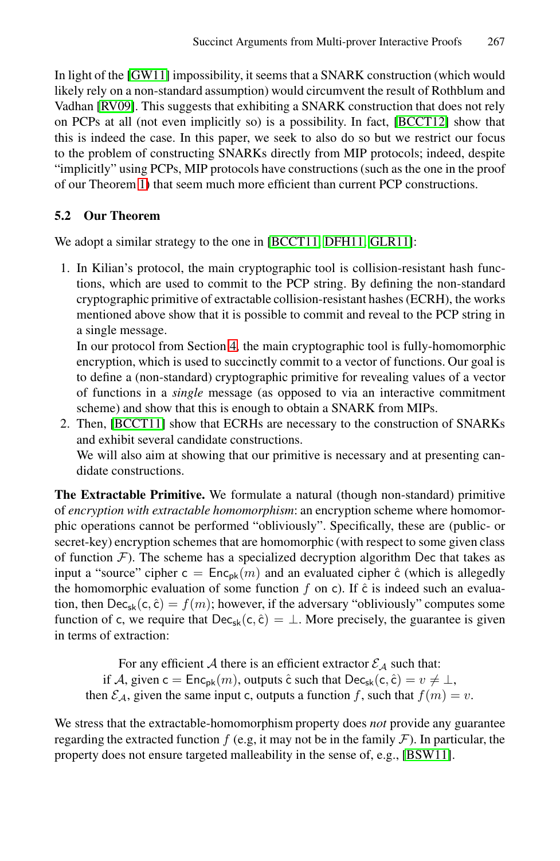In light of the [\[GW11\]](#page-16-12) impossibility, it seems that a SNARK construction (which would likely rely on a non-standard assumption) would circumvent the result of Rothblum and Vadhan [\[RV09\]](#page-17-3). This suggests that exhibiting a SNARK construction that does not rely on PCPs at all (not even implicitly so) is a possibility. In fact, [\[BCCT12\]](#page-14-2) show that this is indeed the case. In this paper, we seek to also do so but we restrict our focus to the problem of constructing SNARKs directly from MIP protocols; indeed, despite "implicitly" using PCPs, MIP protocols have constructions (such as the one in the proof of our Theorem [1\)](#page-4-0) that seem much more efficient than current PCP constructions.

#### **5.2 Our Theorem**

We adopt a similar strategy to the one in [\[BCCT11,](#page-14-1) [DFH11,](#page-16-6) [GLR11\]](#page-16-7):

1. In Kilian's protocol, the main cryptographic tool is collision-resistant hash functions, which are used to commit to the PCP string. By defining the non-standard cryptographic primitive of extractable collision-resistant hashes (ECRH), the works mentioned above show that it is possible to commit and reveal to the PCP string in a single message.

In our protocol from Section [4,](#page-6-0) the main cryptographic tool is fully-homomorphic encryption, which is used to succinctly commit to a vector of functions. Our goal is to define a (non-standard) cryptographic primitive for revealing values of a vector of functions in a *single* message (as opposed to via an interactive commitment scheme) and show that this is enough to obtain a SNARK from MIPs.

2. Then, [\[BCCT11\]](#page-14-1) show that ECRHs are necessary to the construction of SNARKs and exhibit several candidate constructions. We will also aim at showing that our primitive is necessary and at presenting candidate constructions.

**The Extractable Primitive.** We formulate a natural (though non-standard) primitive of *encryption with extractable homomorphism*: an encryption scheme where homomorphic operations cannot be performed "obliviously". Specifically, these are (public- or secret-key) encryption schemes that are homomorphic (with respect to some given class of function  $F$ ). The scheme has a specialized decryption algorithm Dec that takes as input a "source" cipher  $c = \text{Enc}_{pk}(m)$  and an evaluated cipher  $\hat{c}$  (which is allegedly the homomorphic evaluation of some function f on c). If  $\hat{c}$  is indeed such an evaluation, then  $Dec_{sk}(c, \hat{c}) = f(m)$ ; however, if the adversary "obliviously" computes some function of c, we require that  $Dec_{sk}(c, \hat{c}) = \perp$ . More precisely, the guarantee is given in terms of extraction:

For any efficient A there is an efficient extractor  $\mathcal{E}_A$  such that: if A, given  $c = \text{Enc}_{pk}(m)$ , outputs  $\hat{c}$  such that  $Dec_{sk}(c, \hat{c}) = v \neq \perp$ , then  $\mathcal{E}_A$ , given the same input c, outputs a function f, such that  $f(m) = v$ .

We stress that the extractable-homomorphism property does *not* provide any guarantee regarding the extracted function  $f$  (e.g, it may not be in the family  $\mathcal F$ ). In particular, the property does not ensure targeted malleability in the sense of, e.g., [\[BSW11\]](#page-15-12).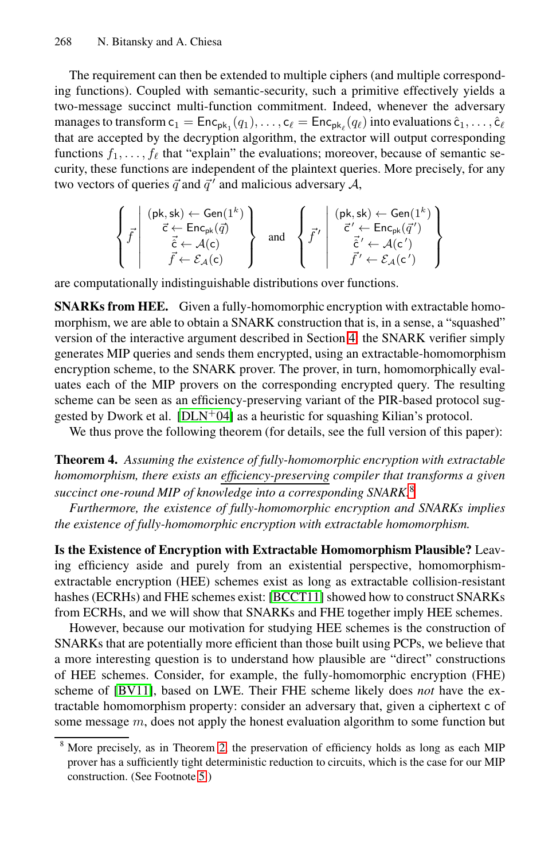The requirement can then be extended to multiple ciphers (and multiple corresponding functions). Coupled with semantic-security, such a primitive effectively yields a two-message succinct multi-function commitment. Indeed, whenever the adversary manages to transform  $c_1 = \text{Enc}_{pk_1}(q_1), \ldots, c_\ell = \text{Enc}_{pk_\ell}(q_\ell)$  into evaluations  $\hat{c}_1, \ldots, \hat{c}_\ell$ <br>that are accepted by the decryption algorithm, the extractor will output corresponding that are accepted by the decryption algorithm, the extractor will output corresponding functions  $f_1, \ldots, f_\ell$  that "explain" the evaluations; moreover, because of semantic security, these functions are independent of the plaintext queries. More precisely, for any two vectors of queries  $\vec{q}$  and  $\vec{q}'$  and malicious adversary A,

$$
\left\{\vec{f}\left|\begin{array}{c}(\mathsf{pk},\mathsf{sk})\leftarrow\mathsf{Gen}(1^k)\\ \vec{c}\leftarrow\mathsf{Enc}_{\mathsf{pk}}(\vec{q})\\ \vec{c}\leftarrow\mathcal{A}(\mathsf{c})\\ \vec{f}\leftarrow\mathcal{E}_{\mathcal{A}}(\mathsf{c})\end{array}\right\}\right.\right\}\quad\text{and}\quad\left\{\vec{f'}\left|\begin{array}{c}(\mathsf{pk},\mathsf{sk})\leftarrow\mathsf{Gen}(1^k)\\ \vec{c'}\leftarrow\mathsf{Enc}_{\mathsf{pk}}(\vec{q'})\\ \vec{c'}\leftarrow\mathsf{Enc}_{\mathsf{pk}}(\vec{q'})\\ \vec{c'}\leftarrow\mathcal{A}(\mathsf{c'})\\ \vec{f'}\leftarrow\mathcal{E}_{\mathcal{A}}(\mathsf{c'})\end{array}\right\}\right.\right\}
$$

are computationally indistinguishable distributions over functions.

<span id="page-13-0"></span>**SNARKs from HEE.** Given a fully-homomorphic encryption with extractable homomorphism, we are able to obtain a SNARK construction that is, in a sense, a "squashed" version of the interactive argument described in Section [4:](#page-6-0) the SNARK verifier simply generates MIP queries and sends them encrypted, using an extractable-homomorphism encryption scheme, to the SNARK prover. The prover, in turn, homomorphically evaluates each of the MIP provers on the corresponding encrypted query. The resulting scheme can be seen as an efficiency-preserving variant of the PIR-based protocol suggested by Dwork et al.  $[DLN+04]$  $[DLN+04]$  as a heuristic for squashing Kilian's protocol.

We thus prove the following theorem (for details, see the full version of this paper):

**Theorem 4.** *Assuming the existence of fully-homomorphic encryption with extractable homomorphism, there exists an efficiency-preserving compiler that transforms a given succinct one-round MIP of knowledge into a corresponding SNARK.*[8](#page-13-1)

*Furthermore, the existence of fully-homomorphic encryption and SNARKs implies the existence of fully-homomorphic encryption with extractable homomorphism.*

**Is the Existence of Encryption with Extractable Homomorphism Plausible?** Leaving efficiency aside and purely from an existential perspective, homomorphismextractable encryption (HEE) schemes exist as long as extractable collision-resistant hashes (ECRHs) and FHE schemes exist: [\[BCCT11\]](#page-14-1) showed how to construct SNARKs from ECRHs, and we will show that SNARKs and FHE together imply HEE schemes.

<span id="page-13-1"></span>However, because our motivation for studying HEE schemes is the construction of SNARKs that are potentially more efficient than those built using PCPs, we believe that a more interesting question is to understand how plausible are "direct" constructions of HEE schemes. Consider, for example, the fully-homomorphic encryption (FHE) scheme of [\[BV11\]](#page-15-13), based on LWE. Their FHE scheme likely does *not* have the extractable homomorphism property: consider an adversary that, given a ciphertext c of some message m, does not apply the honest evaluation algorithm to some function but

<sup>&</sup>lt;sup>8</sup> More precisely, as in Theorem [2,](#page-7-0) the preservation of efficiency holds as long as each MIP prover has a sufficiently tight deterministic reduction to circuits, which is the case for our MIP construction. (See Footnote [5.](#page-7-2))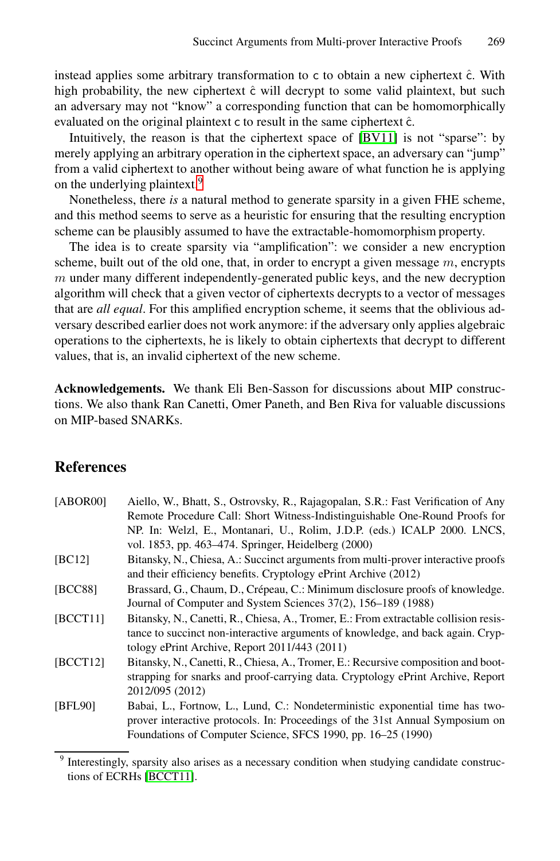instead applies some arbitrary transformation to  $\epsilon$  to obtain a new ciphertext  $\hat{\epsilon}$ . With high probability, the new ciphertext  $\hat{c}$  will decrypt to some valid plaintext, but such an adversary may not "know" a corresponding function that can be homomorphically evaluated on the original plaintext c to result in the same ciphertext  $\hat{c}$ .

Intuitively, the reason is that the ciphertext space of [\[BV11\]](#page-15-13) is not "sparse": by merely applying an arbitrary operation in the ciphertext space, an adversary can "jump" from a valid ciphertext to another without being aware of what function he is applying on the underlying plaintext.<sup>[9](#page-14-6)</sup>

Nonetheless, there *is* a natural method to generate sparsity in a given FHE scheme, and this method seems to serve as a heuristic for ensuring that the resulting encryption scheme can be plausibly assumed to have the extractable-homomorphism property.

The idea is to create sparsity via "amplification": we consider a new encryption scheme, built out of the old one, that, in order to encrypt a given message  $m$ , encrypts  $m$  under many different independently-generated public keys, and the new decryption algorithm will check that a given vector of ciphertexts decrypts to a vector of messages that are *all equal*. For this amplified encryption scheme, it seems that the oblivious adversary described earlier does not work anymore: if the adversary only applies algebraic operations to the ciphertexts, he is likely to obtain ciphertexts that decrypt to different values, that is, an invalid ciphertext of the new scheme.

<span id="page-14-5"></span>**Acknowledgements.** We thank Eli Ben-Sasson for discussions about MIP constructions. We also thank Ran Canetti, Omer Paneth, and Ben Riva for valuable discussions on MIP-based SNARKs.

### <span id="page-14-3"></span><span id="page-14-0"></span>**References**

<span id="page-14-4"></span><span id="page-14-2"></span><span id="page-14-1"></span>

| Aiello, W., Bhatt, S., Ostrovsky, R., Rajagopalan, S.R.: Fast Verification of Any    |
|--------------------------------------------------------------------------------------|
| Remote Procedure Call: Short Witness-Indistinguishable One-Round Proofs for          |
| NP. In: Welzl, E., Montanari, U., Rolim, J.D.P. (eds.) ICALP 2000. LNCS,             |
| vol. 1853, pp. 463–474. Springer, Heidelberg (2000)                                  |
| Bitansky, N., Chiesa, A.: Succinct arguments from multi-prover interactive proofs    |
| and their efficiency benefits. Cryptology ePrint Archive (2012)                      |
| Brassard, G., Chaum, D., Crépeau, C.: Minimum disclosure proofs of knowledge.        |
| Journal of Computer and System Sciences 37(2), 156–189 (1988)                        |
| Bitansky, N., Canetti, R., Chiesa, A., Tromer, E.: From extractable collision resis- |
| tance to succinct non-interactive arguments of knowledge, and back again. Cryp-      |
| tology ePrint Archive, Report 2011/443 (2011)                                        |
| Bitansky, N., Canetti, R., Chiesa, A., Tromer, E.: Recursive composition and boot-   |
| strapping for snarks and proof-carrying data. Cryptology ePrint Archive, Report      |
| 2012/095 (2012)                                                                      |
| Babai, L., Fortnow, L., Lund, C.: Nondeterministic exponential time has two-         |
| prover interactive protocols. In: Proceedings of the 31st Annual Symposium on        |
| Foundations of Computer Science, SFCS 1990, pp. 16–25 (1990)                         |
|                                                                                      |

<span id="page-14-6"></span><sup>9</sup> Interestingly, sparsity also arises as a necessary condition when studying candidate constructions of ECRHs [\[BCCT11\]](#page-14-1).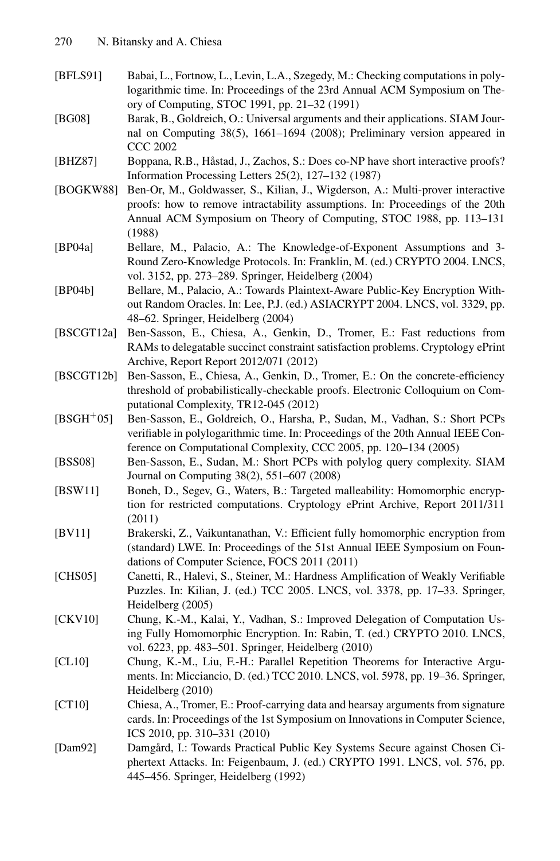- <span id="page-15-6"></span><span id="page-15-2"></span><span id="page-15-1"></span><span id="page-15-0"></span>[BFLS91] Babai, L., Fortnow, L., Levin, L.A., Szegedy, M.: Checking computations in polylogarithmic time. In: Proceedings of the 23rd Annual ACM Symposium on Theory of Computing, STOC 1991, pp. 21–32 (1991)
- [BG08] Barak, B., Goldreich, O.: Universal arguments and their applications. SIAM Journal on Computing 38(5), 1661–1694 (2008); Preliminary version appeared in CCC 2002
- [BHZ87] Boppana, R.B., Håstad, J., Zachos, S.: Does co-NP have short interactive proofs? Information Processing Letters 25(2), 127–132 (1987)
- <span id="page-15-5"></span>[BOGKW88] Ben-Or, M., Goldwasser, S., Kilian, J., Wigderson, A.: Multi-prover interactive proofs: how to remove intractability assumptions. In: Proceedings of the 20th Annual ACM Symposium on Theory of Computing, STOC 1988, pp. 113–131 (1988)
- <span id="page-15-4"></span>[BP04a] Bellare, M., Palacio, A.: The Knowledge-of-Exponent Assumptions and 3- Round Zero-Knowledge Protocols. In: Franklin, M. (ed.) CRYPTO 2004. LNCS, vol. 3152, pp. 273–289. Springer, Heidelberg (2004)
- <span id="page-15-8"></span>[BP04b] Bellare, M., Palacio, A.: Towards Plaintext-Aware Public-Key Encryption Without Random Oracles. In: Lee, P.J. (ed.) ASIACRYPT 2004. LNCS, vol. 3329, pp. 48–62. Springer, Heidelberg (2004)
- <span id="page-15-7"></span>[BSCGT12a] Ben-Sasson, E., Chiesa, A., Genkin, D., Tromer, E.: Fast reductions from RAMs to delegatable succinct constraint satisfaction problems. Cryptology ePrint Archive, Report Report 2012/071 (2012)
- <span id="page-15-12"></span>[BSCGT12b] Ben-Sasson, E., Chiesa, A., Genkin, D., Tromer, E.: On the concrete-efficiency threshold of probabilistically-checkable proofs. Electronic Colloquium on Computational Complexity, TR12-045 (2012)
- <span id="page-15-13"></span>[BSGH<sup>+</sup>05] Ben-Sasson, E., Goldreich, O., Harsha, P., Sudan, M., Vadhan, S.: Short PCPs verifiable in polylogarithmic time. In: Proceedings of the 20th Annual IEEE Conference on Computational Complexity, CCC 2005, pp. 120–134 (2005)
- <span id="page-15-11"></span>[BSS08] Ben-Sasson, E., Sudan, M.: Short PCPs with polylog query complexity. SIAM Journal on Computing 38(2), 551–607 (2008)
- <span id="page-15-9"></span>[BSW11] Boneh, D., Segev, G., Waters, B.: Targeted malleability: Homomorphic encryption for restricted computations. Cryptology ePrint Archive, Report 2011/311 (2011)
- <span id="page-15-10"></span>[BV11] Brakerski, Z., Vaikuntanathan, V.: Efficient fully homomorphic encryption from (standard) LWE. In: Proceedings of the 51st Annual IEEE Symposium on Foundations of Computer Science, FOCS 2011 (2011)
- <span id="page-15-3"></span>[CHS05] Canetti, R., Halevi, S., Steiner, M.: Hardness Amplification of Weakly Verifiable Puzzles. In: Kilian, J. (ed.) TCC 2005. LNCS, vol. 3378, pp. 17–33. Springer, Heidelberg (2005)
- [CKV10] Chung, K.-M., Kalai, Y., Vadhan, S.: Improved Delegation of Computation Using Fully Homomorphic Encryption. In: Rabin, T. (ed.) CRYPTO 2010. LNCS, vol. 6223, pp. 483–501. Springer, Heidelberg (2010)
- [CL10] Chung, K.-M., Liu, F.-H.: Parallel Repetition Theorems for Interactive Arguments. In: Micciancio, D. (ed.) TCC 2010. LNCS, vol. 5978, pp. 19–36. Springer, Heidelberg (2010)
- [CT10] Chiesa, A., Tromer, E.: Proof-carrying data and hearsay arguments from signature cards. In: Proceedings of the 1st Symposium on Innovations in Computer Science, ICS 2010, pp. 310–331 (2010)
- [Dam92] Damgård, I.: Towards Practical Public Key Systems Secure against Chosen Ciphertext Attacks. In: Feigenbaum, J. (ed.) CRYPTO 1991. LNCS, vol. 576, pp. 445–456. Springer, Heidelberg (1992)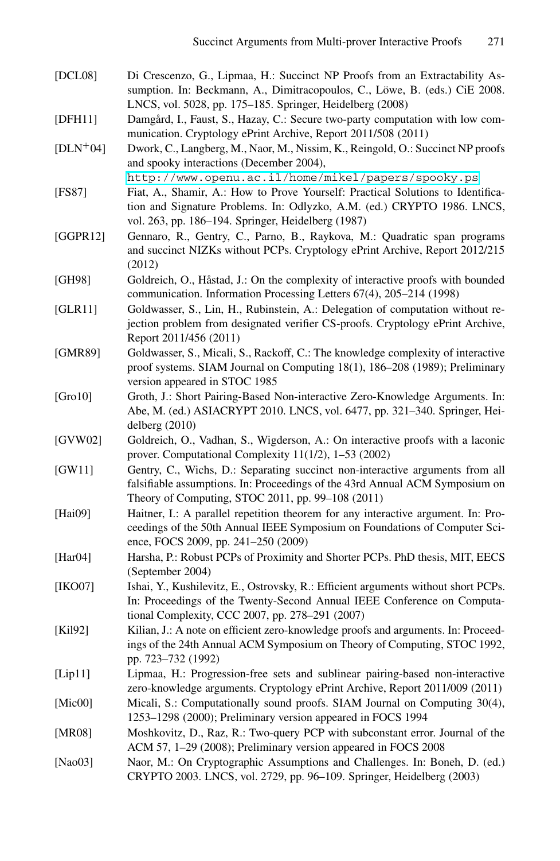- <span id="page-16-17"></span><span id="page-16-15"></span><span id="page-16-6"></span><span id="page-16-5"></span>[DCL08] Di Crescenzo, G., Lipmaa, H.: Succinct NP Proofs from an Extractability Assumption. In: Beckmann, A., Dimitracopoulos, C., Löwe, B. (eds.) CiE 2008. LNCS, vol. 5028, pp. 175–185. Springer, Heidelberg (2008)
- [DFH11] Damgård, I., Faust, S., Hazay, C.: Secure two-party computation with low communication. Cryptology ePrint Archive, Report 2011/508 (2011)
- [DLN<sup>+</sup>04] Dwork, C., Langberg, M., Naor, M., Nissim, K., Reingold, O.: Succinct NP proofs and spooky interactions (December 2004),

<span id="page-16-10"></span><span id="page-16-7"></span><span id="page-16-1"></span><span id="page-16-0"></span><http://www.openu.ac.il/home/mikel/papers/spooky.ps>

- [FS87] Fiat, A., Shamir, A.: How to Prove Yourself: Practical Solutions to Identification and Signature Problems. In: Odlyzko, A.M. (ed.) CRYPTO 1986. LNCS, vol. 263, pp. 186–194. Springer, Heidelberg (1987)
- [GGPR12] Gennaro, R., Gentry, C., Parno, B., Raykova, M.: Quadratic span programs and succinct NIZKs without PCPs. Cryptology ePrint Archive, Report 2012/215 (2012)
- <span id="page-16-8"></span>[GH98] Goldreich, O., Håstad, J.: On the complexity of interactive proofs with bounded communication. Information Processing Letters 67(4), 205–214 (1998)
- <span id="page-16-2"></span>[GLR11] Goldwasser, S., Lin, H., Rubinstein, A.: Delegation of computation without rejection problem from designated verifier CS-proofs. Cryptology ePrint Archive, Report 2011/456 (2011)
- <span id="page-16-12"></span>[GMR89] Goldwasser, S., Micali, S., Rackoff, C.: The knowledge complexity of interactive proof systems. SIAM Journal on Computing 18(1), 186–208 (1989); Preliminary version appeared in STOC 1985
- <span id="page-16-16"></span>[Gro10] Groth, J.: Short Pairing-Based Non-interactive Zero-Knowledge Arguments. In: Abe, M. (ed.) ASIACRYPT 2010. LNCS, vol. 6477, pp. 321–340. Springer, Heidelberg (2010)
- <span id="page-16-14"></span>[GVW02] Goldreich, O., Vadhan, S., Wigderson, A.: On interactive proofs with a laconic prover. Computational Complexity 11(1/2), 1–53 (2002)
- <span id="page-16-11"></span>[GW11] Gentry, C., Wichs, D.: Separating succinct non-interactive arguments from all falsifiable assumptions. In: Proceedings of the 43rd Annual ACM Symposium on Theory of Computing, STOC 2011, pp. 99–108 (2011)
- <span id="page-16-3"></span>[Hai09] Haitner, I.: A parallel repetition theorem for any interactive argument. In: Proceedings of the 50th Annual IEEE Symposium on Foundations of Computer Science, FOCS 2009, pp. 241–250 (2009)
- <span id="page-16-9"></span>[Har04] Harsha, P.: Robust PCPs of Proximity and Shorter PCPs. PhD thesis, MIT, EECS (September 2004)
- <span id="page-16-4"></span>[IKO07] Ishai, Y., Kushilevitz, E., Ostrovsky, R.: Efficient arguments without short PCPs. In: Proceedings of the Twenty-Second Annual IEEE Conference on Computational Complexity, CCC 2007, pp. 278–291 (2007)
- <span id="page-16-18"></span><span id="page-16-13"></span>[Kil92] Kilian, J.: A note on efficient zero-knowledge proofs and arguments. In: Proceedings of the 24th Annual ACM Symposium on Theory of Computing, STOC 1992, pp. 723–732 (1992)
- [Lip11] Lipmaa, H.: Progression-free sets and sublinear pairing-based non-interactive zero-knowledge arguments. Cryptology ePrint Archive, Report 2011/009 (2011)
- [Mic00] Micali, S.: Computationally sound proofs. SIAM Journal on Computing 30(4), 1253–1298 (2000); Preliminary version appeared in FOCS 1994
- [MR08] Moshkovitz, D., Raz, R.: Two-query PCP with subconstant error. Journal of the ACM 57, 1–29 (2008); Preliminary version appeared in FOCS 2008
- [Nao03] Naor, M.: On Cryptographic Assumptions and Challenges. In: Boneh, D. (ed.) CRYPTO 2003. LNCS, vol. 2729, pp. 96–109. Springer, Heidelberg (2003)